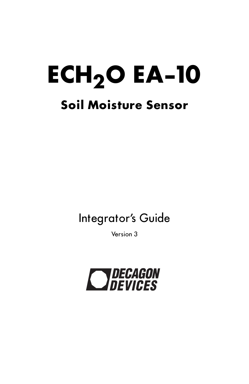# **ECH<sub>2</sub>O EA-10 Soil Moisture Sensor**

## Integrator's Guide

Version 3

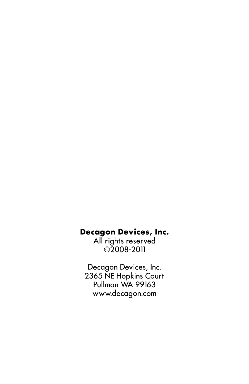#### **Decagon Devices, Inc.**

All rights reserved **©**2008-2011

Decagon Devices, Inc. 2365 NE Hopkins Court Pullman WA 99163 www.decagon.com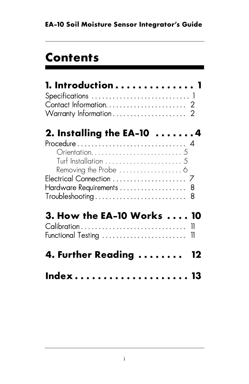# **Contents**

| 2. Installing the EA-10 $\dots\dots$                                                                      |    |
|-----------------------------------------------------------------------------------------------------------|----|
| Hardware Requirements 8<br>$\mathsf{Troubles}$ hooting $\ldots \ldots \ldots \ldots \ldots \ldots \ldots$ |    |
| 3. How the EA-10 Works<br>Calibration<br>Functional Testing                                               | 11 |
| 4. Further Reading                                                                                        |    |
| Index                                                                                                     |    |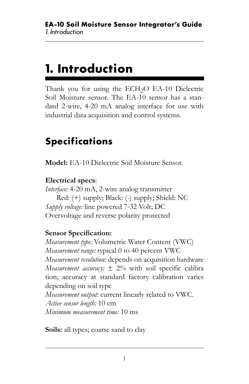# <span id="page-3-0"></span>**1. Introduction**

Thank you for using the  $ECH<sub>2</sub>O$  EA-10 Dielectric Soil Moisture sensor. The EA-10 sensor has a standard 2-wire, 4-20 mA analog interface for use with industrial data acquisition and control systems.

### <span id="page-3-2"></span><span id="page-3-1"></span>**Specifications**

**Model:** EA-10 Dielectric Soil Moisture Sensor.

#### **Electrical specs**:

*Interface:* 4-20 mA, 2-wire analog transmitter Red: (+) supply; Black: (-) supply; Shield: NC *Supply voltage:* line powered 7-32 Volt; DC Overvoltage and reverse polarity protected

#### **Sensor Specification:**

*Measurement type:* Volumetric Water Content (VWC) *Measurement range:* typical 0 to 40 percent VWC *Measurement resolution:* depends on acquisition hardware *Measurement accuracy:*  $\pm$  2% with soil specific calibra tion; accuracy at standard factory calibration varies depending on soil type *Measurement output:* current linearly related to VWC. *Active sensor length:* 10 cm *Minimum measurement time:* 10 ms

**Soils:** all types; coarse sand to clay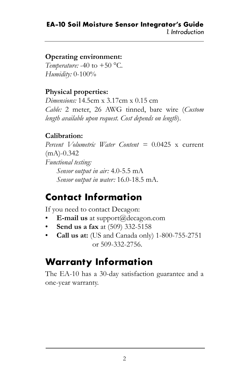#### **EA-10 Soil Moisture Sensor Integrator's Guide** *1. Introduction*

#### **Operating environment:**

*Temperature:* -40 to  $+50$  °C. *Humidity:* 0-100%

#### **Physical properties:**

*Dimensions:* 14.5cm x 3.17cm x 0.15 cm *Cable:* 2 meter, 26 AWG tinned, bare wire (*Custom length available upon request. Cost depends on length*).

#### **Calibration:**

*Percent Volumetric Water Content =* 0.0425 x current  $(mA) - 0.342$ *Functional testing: Sensor output in air:* 4.0-5.5 mA *Sensor output in water:* 16.0-18.5 mA.

### <span id="page-4-1"></span><span id="page-4-0"></span>**Contact Information**

If you need to contact Decagon:

- **E-mail us** at support@decagon.com
- **Send us a fax** at (509) 332-5158
- **Call us at:** (US and Canada only) 1-800-755-2751 or 509-332-2756.

### **Warranty Information**

The EA-10 has a 30-day satisfaction guarantee and a one-year warranty.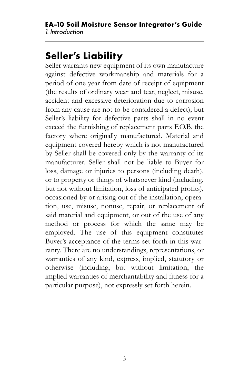### <span id="page-5-0"></span>**Seller's Liability**

Seller warrants new equipment of its own manufacture against defective workmanship and materials for a period of one year from date of receipt of equipment (the results of ordinary wear and tear, neglect, misuse, accident and excessive deterioration due to corrosion from any cause are not to be considered a defect); but Seller's liability for defective parts shall in no event exceed the furnishing of replacement parts F.O.B. the factory where originally manufactured. Material and equipment covered hereby which is not manufactured by Seller shall be covered only by the warranty of its manufacturer. Seller shall not be liable to Buyer for loss, damage or injuries to persons (including death), or to property or things of whatsoever kind (including, but not without limitation, loss of anticipated profits), occasioned by or arising out of the installation, operation, use, misuse, nonuse, repair, or replacement of said material and equipment, or out of the use of any method or process for which the same may be employed. The use of this equipment constitutes Buyer's acceptance of the terms set forth in this warranty. There are no understandings, representations, or warranties of any kind, express, implied, statutory or otherwise (including, but without limitation, the implied warranties of merchantability and fitness for a particular purpose), not expressly set forth herein.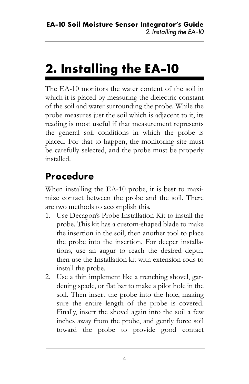# <span id="page-6-0"></span>**2. Installing the EA-10**

The EA-10 monitors the water content of the soil in which it is placed by measuring the dielectric constant of the soil and water surrounding the probe. While the probe measures just the soil which is adjacent to it, its reading is most useful if that measurement represents the general soil conditions in which the probe is placed. For that to happen, the monitoring site must be carefully selected, and the probe must be properly installed.

### <span id="page-6-2"></span><span id="page-6-1"></span>**Procedure**

When installing the EA-10 probe, it is best to maximize contact between the probe and the soil. There are two methods to accomplish this.

- 1. Use Decagon's Probe Installation Kit to install the probe. This kit has a custom-shaped blade to make the insertion in the soil, then another tool to place the probe into the insertion. For deeper installations, use an augur to reach the desired depth, then use the Installation kit with extension rods to install the probe.
- 2. Use a thin implement like a trenching shovel, gardening spade, or flat bar to make a pilot hole in the soil. Then insert the probe into the hole, making sure the entire length of the probe is covered. Finally, insert the shovel again into the soil a few inches away from the probe, and gently force soil toward the probe to provide good contact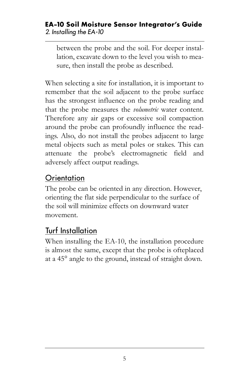#### **EA-10 Soil Moisture Sensor Integrator's Guide** *2. Installing the EA-10*

between the probe and the soil. For deeper installation, excavate down to the level you wish to measure, then install the probe as described.

When selecting a site for installation, it is important to remember that the soil adjacent to the probe surface has the strongest influence on the probe reading and that the probe measures the *volumetric* water content. Therefore any air gaps or excessive soil compaction around the probe can profoundly influence the readings. Also, do not install the probes adjacent to large metal objects such as metal poles or stakes. This can attenuate the probe's electromagnetic field and adversely affect output readings.

#### <span id="page-7-0"></span>**Orientation**

The probe can be oriented in any direction. However, orienting the flat side perpendicular to the surface of the soil will minimize effects on downward water movement.

#### <span id="page-7-1"></span>Turf Installation

at a 45° angle to the ground, instead of straight down. When installing the EA-10, the installation procedure is almost the same, except that the probe is ofteplaced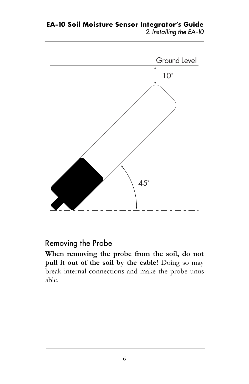**EA-10 Soil Moisture Sensor Integrator's Guide** *2. Installing the EA-10*



**pull it out of the soil by the cable!** Doing so may

<span id="page-8-0"></span>Removing the Probe

break internal connections and make the probe unusable.

**When removing the probe from the soil, do not**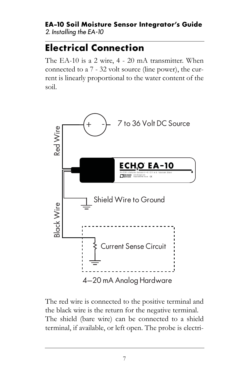#### **EA-10 Soil Moisture Sensor Integrator's Guide** *2. Installing the EA-10*

### <span id="page-9-1"></span><span id="page-9-0"></span>**Electrical Connection**

The EA-10 is a 2 wire, 4 - 20 mA transmitter. When connected to a 7 - 32 volt source (line power), the current is linearly proportional to the water content of the soil.



The red wire is connected to the positive terminal and the black wire is the return for the negative terminal. The shield (bare wire) can be connected to a shield terminal, if available, or left open. The probe is electri-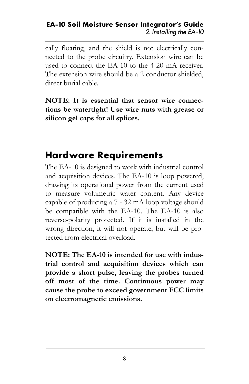#### **EA-10 Soil Moisture Sensor Integrator's Guide** *2. Installing the EA-10*

cally floating, and the shield is not electrically connected to the probe circuitry. Extension wire can be used to connect the EA-10 to the 4-20 mA receiver. The extension wire should be a 2 conductor shielded, direct burial cable.

**NOTE: It is essential that sensor wire connections be watertight! Use wire nuts with grease or silicon gel caps for all splices.**

### <span id="page-10-1"></span><span id="page-10-0"></span>**Hardware Requirements**

The EA-10 is designed to work with industrial control and acquisition devices. The EA-10 is loop powered, drawing its operational power from the current used to measure volumetric water content. Any device capable of producing a 7 - 32 mA loop voltage should be compatible with the EA-10. The EA-10 is also reverse-polarity protected. If it is installed in the wrong direction, it will not operate, but will be protected from electrical overload.

**NOTE: The EA-10 is intended for use with industrial control and acquisition devices which can provide a short pulse, leaving the probes turned off most of the time. Continuous power may cause the probe to exceed government FCC limits on electromagnetic emissions.**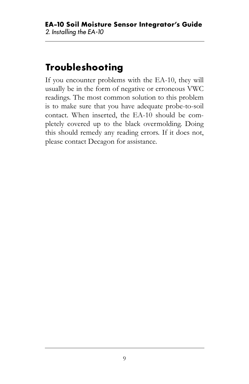### <span id="page-11-1"></span><span id="page-11-0"></span>**Troubleshooting**

If you encounter problems with the EA-10, they will usually be in the form of negative or erroneous VWC readings. The most common solution to this problem is to make sure that you have adequate probe-to-soil contact. When inserted, the EA-10 should be completely covered up to the black overmolding. Doing this should remedy any reading errors. If it does not, please contact Decagon for assistance.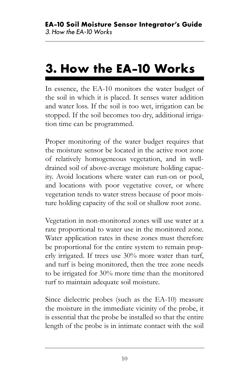# <span id="page-12-0"></span>**3. How the EA-10 Works**

In essence, the EA-10 monitors the water budget of the soil in which it is placed. It senses water addition and water loss. If the soil is too wet, irrigation can be stopped. If the soil becomes too dry, additional irrigation time can be programmed.

Proper monitoring of the water budget requires that the moisture sensor be located in the active root zone of relatively homogeneous vegetation, and in welldrained soil of above-average moisture holding capacity. Avoid locations where water can run-on or pool, and locations with poor vegetative cover, or where vegetation tends to water stress because of poor moisture holding capacity of the soil or shallow root zone.

Vegetation in non-monitored zones will use water at a rate proportional to water use in the monitored zone. Water application rates in these zones must therefore be proportional for the entire system to remain properly irrigated. If trees use 30% more water than turf, and turf is being monitored, then the tree zone needs to be irrigated for 30% more time than the monitored turf to maintain adequate soil moisture.

Since dielectric probes (such as the EA-10) measure the moisture in the immediate vicinity of the probe, it is essential that the probe be installed so that the entire length of the probe is in intimate contact with the soil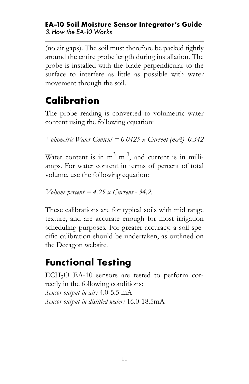#### **EA-10 Soil Moisture Sensor Integrator's Guide** *3. How the EA-10 Works*

(no air gaps). The soil must therefore be packed tightly around the entire probe length during installation. The probe is installed with the blade perpendicular to the surface to interfere as little as possible with water movement through the soil.

### <span id="page-13-2"></span><span id="page-13-0"></span>**Calibration**

The probe reading is converted to volumetric water content using the following equation:

*Volumetric Water Content = 0.0425 x Current (mA)- 0.342*

Water content is in  $m^3$   $m^{-3}$ , and current is in milliamps. For water content in terms of percent of total volume, use the following equation:

*Volume percent = 4.25 x Current - 34.2.*

These calibrations are for typical soils with mid range texture, and are accurate enough for most irrigation scheduling purposes. For greater accuracy, a soil specific calibration should be undertaken, as outlined on the Decagon website.

### <span id="page-13-3"></span><span id="page-13-1"></span>**Functional Testing**

 $ECH<sub>2</sub>O$  EA-10 sensors are tested to perform correctly in the following conditions: *Sensor output in air:* 4.0-5.5 mA *Sensor output in distilled water:* 16.0-18.5mA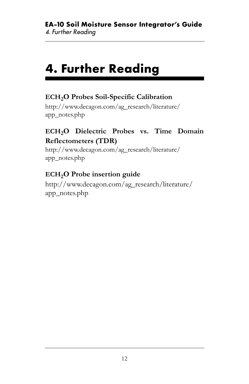# <span id="page-14-0"></span>**4. Further Reading**

#### **ECH2O Probes Soil-Specific Calibration**

http://www.decagon.com/ag\_research/literature/ app\_notes.php

#### **ECH2O Dielectric Probes vs. Time Domain Reflectometers (TDR)**

http://www.decagon.com/ag\_research/literature/ app\_notes.php

#### **ECH<sub>2</sub>O** Probe insertion guide

http://www.decagon.com/ag\_research/literature/ app\_notes.php